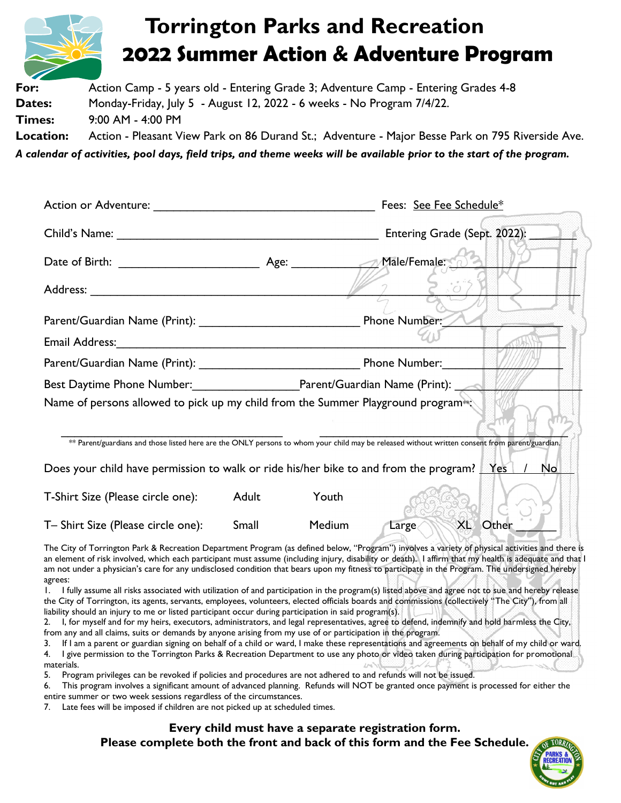

**For:** Action Camp - 5 years old - Entering Grade 3; Adventure Camp - Entering Grades 4-8 **Dates:** Monday-Friday, July 5 - August 12, 2022 - 6 weeks - No Program 7/4/22. **Times:** 9:00 AM - 4:00 PM **Location:** Action - Pleasant View Park on 86 Durand St.; Adventure - Major Besse Park on 795 Riverside Ave.

*A calendar of activities, pool days, field trips, and theme weeks will be available prior to the start of the program.*

|                                                                                                      | Fees: See Fee Schedule*                                                                              |                                                                                                                                                 |  |  |  |  |  |  |
|------------------------------------------------------------------------------------------------------|------------------------------------------------------------------------------------------------------|-------------------------------------------------------------------------------------------------------------------------------------------------|--|--|--|--|--|--|
|                                                                                                      | Entering Grade (Sept. 2022):                                                                         |                                                                                                                                                 |  |  |  |  |  |  |
|                                                                                                      | Male/Female:                                                                                         |                                                                                                                                                 |  |  |  |  |  |  |
|                                                                                                      |                                                                                                      |                                                                                                                                                 |  |  |  |  |  |  |
|                                                                                                      |                                                                                                      |                                                                                                                                                 |  |  |  |  |  |  |
| Email Address: Martin March 1997 (1998) 1998                                                         |                                                                                                      |                                                                                                                                                 |  |  |  |  |  |  |
|                                                                                                      |                                                                                                      |                                                                                                                                                 |  |  |  |  |  |  |
|                                                                                                      | Best Daytime Phone Number:___________________________Parent/Guardian Name (Print): _________________ |                                                                                                                                                 |  |  |  |  |  |  |
| Name of persons allowed to pick up my child from the Summer Playground program <sup>®</sup>          |                                                                                                      |                                                                                                                                                 |  |  |  |  |  |  |
|                                                                                                      |                                                                                                      | ** Parent/guardians and those listed here are the ONLY persons to whom your child may be released without written consent from parent/guardian. |  |  |  |  |  |  |
| Does your child have permission to walk or ride his/her bike to and from the program? Yes   /<br>No. |                                                                                                      |                                                                                                                                                 |  |  |  |  |  |  |
| T-Shirt Size (Please circle one):                                                                    | Adult                                                                                                | Youth                                                                                                                                           |  |  |  |  |  |  |
| T- Shirt Size (Please circle one):                                                                   | Small                                                                                                | XL Other<br>Medium<br>Large<                                                                                                                    |  |  |  |  |  |  |
| . . of Tominator Double Democratics December of Disamon (or defined below "Dr.                       |                                                                                                      | <b>Communication</b>                                                                                                                            |  |  |  |  |  |  |

The City of Torrington Park & Recreation Department Program (as defined below, "Program") involves a variety of physical activities and there is an element of risk involved, which each participant must assume (including injury, disability or death). I affirm that my health is adequate and that I am not under a physician's care for any undisclosed condition that bears upon my fitness to participate in the Program. The undersigned hereby agrees:

1. I fully assume all risks associated with utilization of and participation in the program(s) listed above and agree not to sue and hereby release the City of Torrington, its agents, servants, employees, volunteers, elected officials boards and commissions (collectively "The City"), from all liability should an injury to me or listed participant occur during participation in said program(s).

2. I, for myself and for my heirs, executors, administrators, and legal representatives, agree to defend, indemnify and hold harmless the City, from any and all claims, suits or demands by anyone arising from my use of or participation in the program.

3. If I am a parent or guardian signing on behalf of a child or ward, I make these representations and agreements on behalf of my child or ward. 4. I give permission to the Torrington Parks & Recreation Department to use any photo or video taken during participation for promotional materials.

5. Program privileges can be revoked if policies and procedures are not adhered to and refunds will not be issued.

6. This program involves a significant amount of advanced planning. Refunds will NOT be granted once payment is processed for either the entire summer or two week sessions regardless of the circumstances.

7. Late fees will be imposed if children are not picked up at scheduled times.

**Every child must have a separate registration form. Please complete both the front and back of this form and the Fee Schedule.**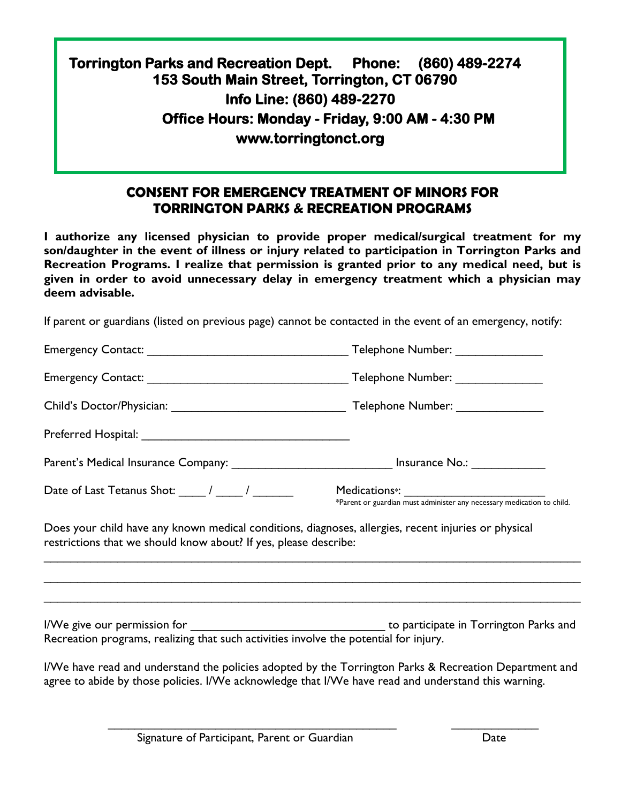## **Torrington Parks and Recreation Dept. Phone: (860) 489-2274 153 South Main Street, Torrington, CT 06790 Info Line: (860) 489-2270 Office Hours: Monday - Friday, 9:00 AM - 4:30 PM www.torringtonct.org**

### **CONSENT FOR EMERGENCY TREATMENT OF MINORS FOR TORRINGTON PARKS & RECREATION PROGRAMS**

**I authorize any licensed physician to provide proper medical/surgical treatment for my son/daughter in the event of illness or injury related to participation in Torrington Parks and Recreation Programs. I realize that permission is granted prior to any medical need, but is given in order to avoid unnecessary delay in emergency treatment which a physician may deem advisable.**

If parent or guardians (listed on previous page) cannot be contacted in the event of an emergency, notify:

|                                                                                                                                                                          | Telephone Number: ________________ |  |  |  |  |  |  |  |
|--------------------------------------------------------------------------------------------------------------------------------------------------------------------------|------------------------------------|--|--|--|--|--|--|--|
|                                                                                                                                                                          |                                    |  |  |  |  |  |  |  |
|                                                                                                                                                                          |                                    |  |  |  |  |  |  |  |
|                                                                                                                                                                          |                                    |  |  |  |  |  |  |  |
| Parent's Medical Insurance Company: _________________________________ Insurance No.: _______________                                                                     |                                    |  |  |  |  |  |  |  |
| Date of Last Tetanus Shot: $\frac{1}{\sqrt{2\pi}}$ / $\frac{1}{\sqrt{2\pi}}$                                                                                             |                                    |  |  |  |  |  |  |  |
| Does your child have any known medical conditions, diagnoses, allergies, recent injuries or physical<br>restrictions that we should know about? If yes, please describe: |                                    |  |  |  |  |  |  |  |
|                                                                                                                                                                          |                                    |  |  |  |  |  |  |  |
|                                                                                                                                                                          |                                    |  |  |  |  |  |  |  |
| Recreation programs, realizing that such activities involve the potential for injury.                                                                                    |                                    |  |  |  |  |  |  |  |

I/We have read and understand the policies adopted by the Torrington Parks & Recreation Department and agree to abide by those policies. I/We acknowledge that I/We have read and understand this warning.

\_\_\_\_\_\_\_\_\_\_\_\_\_\_\_\_\_\_\_\_\_\_\_\_\_\_\_\_\_\_\_\_\_\_\_\_\_\_\_\_\_\_\_ \_\_\_\_\_\_\_\_\_\_\_\_\_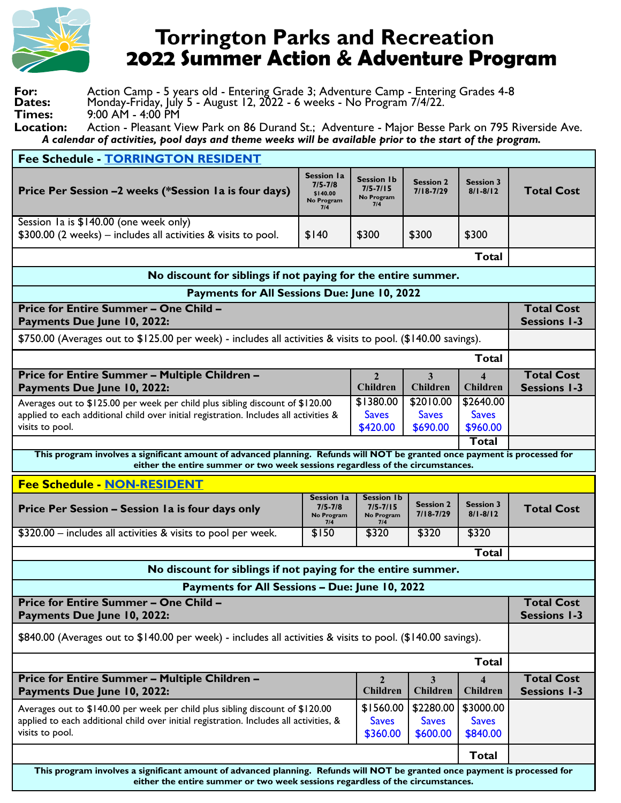

# **Torrington Parks and Recreation 2022 Summer Action & Adventure Program**

| For:          | Action Camp - 5 years old - Entering Grade 3; Adventure Camp - Entering Grades 4-8 |
|---------------|------------------------------------------------------------------------------------|
| <b>Dates:</b> | Monday-Friday, July 5 - August 12, 2022 - 6 weeks - No Program 7/4/22.             |
| <b>Times:</b> | $9:00$ AM - 4:00 PM                                                                |

**Location:** Action - Pleasant View Park on 86 Durand St.; Adventure - Major Besse Park on 795 Riverside Ave.  *A calendar of activities, pool days and theme weeks will be available prior to the start of the program.*

| Fee Schedule - TORRINGTON RESIDENT                                                                                                                                                                           |                                                                                       |                                                        |                                   |                                             |                                          |  |  |  |
|--------------------------------------------------------------------------------------------------------------------------------------------------------------------------------------------------------------|---------------------------------------------------------------------------------------|--------------------------------------------------------|-----------------------------------|---------------------------------------------|------------------------------------------|--|--|--|
| Price Per Session -2 weeks (*Session Ia is four days)                                                                                                                                                        | <b>Session la</b><br>$7/5 - 7/8$<br>\$140.00<br>No Program<br>7/4                     | <b>Session 1b</b><br>$7/5 - 7/15$<br>No Program<br>7/4 | <b>Session 2</b><br>$7/18 - 7/29$ | <b>Session 3</b><br>$8/1 - 8/12$            | <b>Total Cost</b>                        |  |  |  |
| Session Ia is \$140.00 (one week only)                                                                                                                                                                       |                                                                                       |                                                        |                                   |                                             |                                          |  |  |  |
| \$300.00 (2 weeks) – includes all activities & visits to pool.                                                                                                                                               | \$140                                                                                 | \$300                                                  | \$300                             | \$300                                       |                                          |  |  |  |
| <b>Total</b>                                                                                                                                                                                                 |                                                                                       |                                                        |                                   |                                             |                                          |  |  |  |
| No discount for siblings if not paying for the entire summer.                                                                                                                                                |                                                                                       |                                                        |                                   |                                             |                                          |  |  |  |
| Payments for All Sessions Due: June 10, 2022                                                                                                                                                                 |                                                                                       |                                                        |                                   |                                             |                                          |  |  |  |
| <b>Price for Entire Summer - One Child -</b><br>Payments Due June 10, 2022:                                                                                                                                  |                                                                                       |                                                        |                                   |                                             |                                          |  |  |  |
| \$750.00 (Averages out to \$125.00 per week) - includes all activities & visits to pool. (\$140.00 savings).                                                                                                 |                                                                                       |                                                        |                                   |                                             |                                          |  |  |  |
|                                                                                                                                                                                                              |                                                                                       |                                                        |                                   | <b>Total</b>                                |                                          |  |  |  |
| Price for Entire Summer - Multiple Children -<br>Payments Due June 10, 2022:                                                                                                                                 |                                                                                       |                                                        | 3<br><b>Children</b>              | $\boldsymbol{\varDelta}$<br><b>Children</b> | <b>Total Cost</b><br><b>Sessions 1-3</b> |  |  |  |
| Averages out to \$125.00 per week per child plus sibling discount of \$120.00                                                                                                                                |                                                                                       |                                                        | \$2010.00<br><b>Saves</b>         | \$2640.00                                   |                                          |  |  |  |
| visits to pool.                                                                                                                                                                                              | applied to each additional child over initial registration. Includes all activities & |                                                        |                                   | <b>Saves</b><br>\$960.00                    |                                          |  |  |  |
|                                                                                                                                                                                                              |                                                                                       | \$420.00                                               | \$690.00                          | <b>Total</b>                                |                                          |  |  |  |
| This program involves a significant amount of advanced planning. Refunds will NOT be granted once payment is processed for<br>either the entire summer or two week sessions regardless of the circumstances. |                                                                                       |                                                        |                                   |                                             |                                          |  |  |  |
| Fee Schedule - NON-RESIDENT                                                                                                                                                                                  |                                                                                       |                                                        |                                   |                                             |                                          |  |  |  |
| Price Per Session - Session Ia is four days only                                                                                                                                                             | <b>Session la</b><br>$7/5 - 7/8$<br>No Program<br>7/4                                 | <b>Session Ib</b><br>$7/5 - 7/15$<br>No Program<br>7/4 | <b>Session 2</b><br>$7/18 - 7/29$ | <b>Session 3</b><br>$8/1 - 8/12$            | <b>Total Cost</b>                        |  |  |  |
| \$320.00 - includes all activities & visits to pool per week.                                                                                                                                                | \$150                                                                                 | \$320                                                  | \$320                             | \$320                                       |                                          |  |  |  |
| <b>Total</b>                                                                                                                                                                                                 |                                                                                       |                                                        |                                   |                                             |                                          |  |  |  |
| No discount for siblings if not paying for the entire summer.                                                                                                                                                |                                                                                       |                                                        |                                   |                                             |                                          |  |  |  |
| Payments for All Sessions - Due: June 10, 2022                                                                                                                                                               |                                                                                       |                                                        |                                   |                                             | <b>Total Cost</b>                        |  |  |  |
| <b>Price for Entire Summer - One Child -</b><br>Payments Due June 10, 2022:                                                                                                                                  |                                                                                       |                                                        |                                   |                                             |                                          |  |  |  |
| \$840.00 (Averages out to \$140.00 per week) - includes all activities & visits to pool. (\$140.00 savings).                                                                                                 |                                                                                       |                                                        |                                   |                                             |                                          |  |  |  |
| <b>Total</b>                                                                                                                                                                                                 |                                                                                       |                                                        |                                   |                                             |                                          |  |  |  |
| Price for Entire Summer - Multiple Children -<br>Payments Due June 10, 2022:                                                                                                                                 |                                                                                       |                                                        | 3<br><b>Children</b>              | $\boldsymbol{\Lambda}$<br><b>Children</b>   | <b>Total Cost</b><br><b>Sessions 1-3</b> |  |  |  |
| Averages out to \$140.00 per week per child plus sibling discount of \$120.00<br>applied to each additional child over initial registration. Includes all activities, &<br>visits to pool.                   |                                                                                       |                                                        | \$2280.00<br>\$1560.00            | \$3000.00                                   |                                          |  |  |  |
|                                                                                                                                                                                                              |                                                                                       |                                                        | <b>Saves</b><br>\$600.00          | <b>Saves</b><br>\$840.00                    |                                          |  |  |  |
|                                                                                                                                                                                                              |                                                                                       |                                                        |                                   | <b>Total</b>                                |                                          |  |  |  |
| This program involves a significant amount of advanced planning. Refunds will NOT be granted once payment is processed for<br>either the entire summer or two week sessions regardless of the circumstances. |                                                                                       |                                                        |                                   |                                             |                                          |  |  |  |